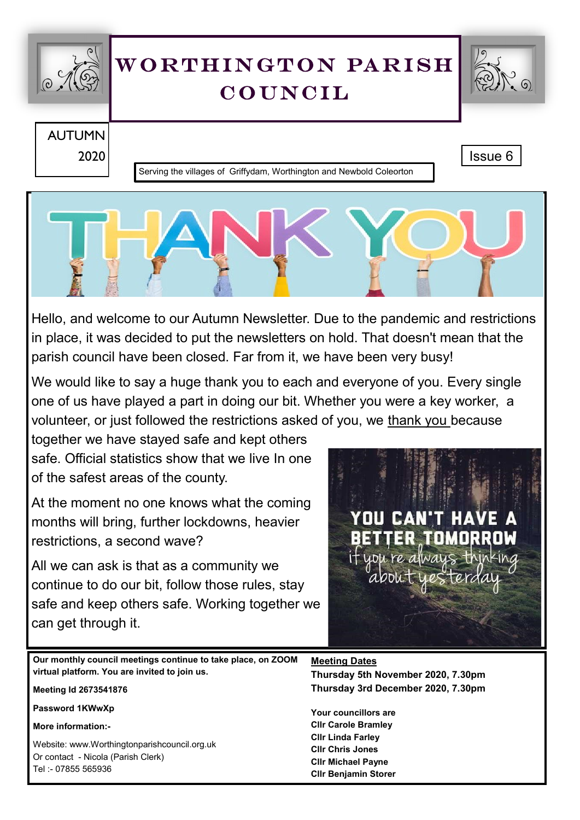

# WORTHINGTON PARISH **COUNCIL**



AUTUMN 2020 | Issue 6 | Issue 6 | Issue 6 | Issue 6 | Issue 6 | Issue 6 | Issue 6 | Issue 6 | Issue 6 | Issue 6 | Issue 6

Serving the villages of Griffydam, Worthington and Newbold Coleorton



Hello, and welcome to our Autumn Newsletter. Due to the pandemic and restrictions in place, it was decided to put the newsletters on hold. That doesn't mean that the parish council have been closed. Far from it, we have been very busy!

We would like to say a huge thank you to each and everyone of you. Every single one of us have played a part in doing our bit. Whether you were a key worker, a volunteer, or just followed the restrictions asked of you, we thank you because

together we have stayed safe and kept others safe. Official statistics show that we live In one of the safest areas of the county.

At the moment no one knows what the coming months will bring, further lockdowns, heavier restrictions, a second wave?

All we can ask is that as a community we continue to do our bit, follow those rules, stay safe and keep others safe. Working together we can get through it.

**HA** 

**Our monthly council meetings continue to take place, on ZOOM virtual platform. You are invited to join us.**

**Meeting Id 2673541876**

**Password 1KWwXp**

**More information:-**

Website: www.Worthingtonparishcouncil.org.uk Or contact - Nicola (Parish Clerk) Tel :- 07855 565936

**Meeting Dates**

**Thursday 5th November 2020, 7.30pm Thursday 3rd December 2020, 7.30pm**

**Your councillors are Cllr Carole Bramley Cllr Linda Farley Cllr Chris Jones Cllr Michael Payne Cllr Benjamin Storer**